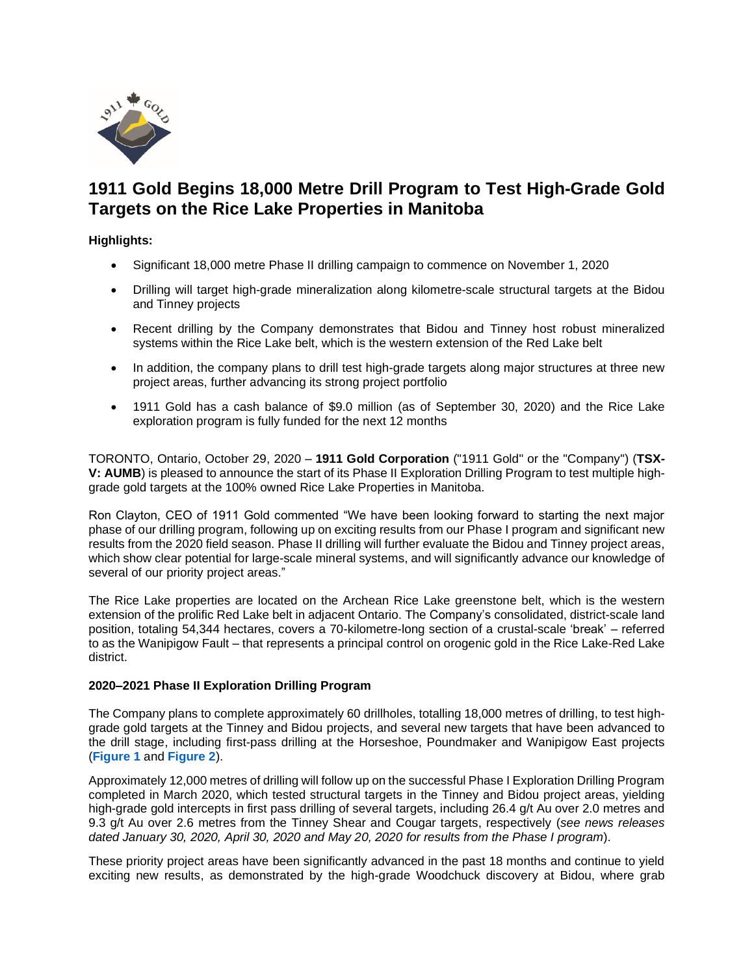

# **1911 Gold Begins 18,000 Metre Drill Program to Test High-Grade Gold Targets on the Rice Lake Properties in Manitoba**

# **Highlights:**

- Significant 18,000 metre Phase II drilling campaign to commence on November 1, 2020
- Drilling will target high-grade mineralization along kilometre-scale structural targets at the Bidou and Tinney projects
- Recent drilling by the Company demonstrates that Bidou and Tinney host robust mineralized systems within the Rice Lake belt, which is the western extension of the Red Lake belt
- In addition, the company plans to drill test high-grade targets along major structures at three new project areas, further advancing its strong project portfolio
- 1911 Gold has a cash balance of \$9.0 million (as of September 30, 2020) and the Rice Lake exploration program is fully funded for the next 12 months

TORONTO, Ontario, October 29, 2020 – **1911 Gold Corporation** ("1911 Gold" or the "Company") (**TSX-V: AUMB**) is pleased to announce the start of its Phase II Exploration Drilling Program to test multiple highgrade gold targets at the 100% owned Rice Lake Properties in Manitoba.

Ron Clayton, CEO of 1911 Gold commented "We have been looking forward to starting the next major phase of our drilling program, following up on exciting results from our Phase I program and significant new results from the 2020 field season. Phase II drilling will further evaluate the Bidou and Tinney project areas, which show clear potential for large-scale mineral systems, and will significantly advance our knowledge of several of our priority project areas."

The Rice Lake properties are located on the Archean Rice Lake greenstone belt, which is the western extension of the prolific Red Lake belt in adjacent Ontario. The Company's consolidated, district-scale land position, totaling 54,344 hectares, covers a 70-kilometre-long section of a crustal-scale 'break' – referred to as the Wanipigow Fault – that represents a principal control on orogenic gold in the Rice Lake-Red Lake district.

#### **2020–2021 Phase II Exploration Drilling Program**

The Company plans to complete approximately 60 drillholes, totalling 18,000 metres of drilling, to test highgrade gold targets at the Tinney and Bidou projects, and several new targets that have been advanced to the drill stage, including first-pass drilling at the Horseshoe, Poundmaker and Wanipigow East projects (**[Figure 1](https://www.1911gold.com/_resources/news/AUMB_NR_Oct-2020_Figure-1.pdf)** and **[Figure 2](https://www.1911gold.com/_resources/news/AUMB_NR_Oct-2020_Figure-2.pdf)**).

Approximately 12,000 metres of drilling will follow up on the successful Phase I Exploration Drilling Program completed in March 2020, which tested structural targets in the Tinney and Bidou project areas, yielding high-grade gold intercepts in first pass drilling of several targets, including 26.4 g/t Au over 2.0 metres and 9.3 g/t Au over 2.6 metres from the Tinney Shear and Cougar targets, respectively (*see news releases dated January 30, 2020, April 30, 2020 and May 20, 2020 for results from the Phase I program*).

These priority project areas have been significantly advanced in the past 18 months and continue to yield exciting new results, as demonstrated by the high-grade Woodchuck discovery at Bidou, where grab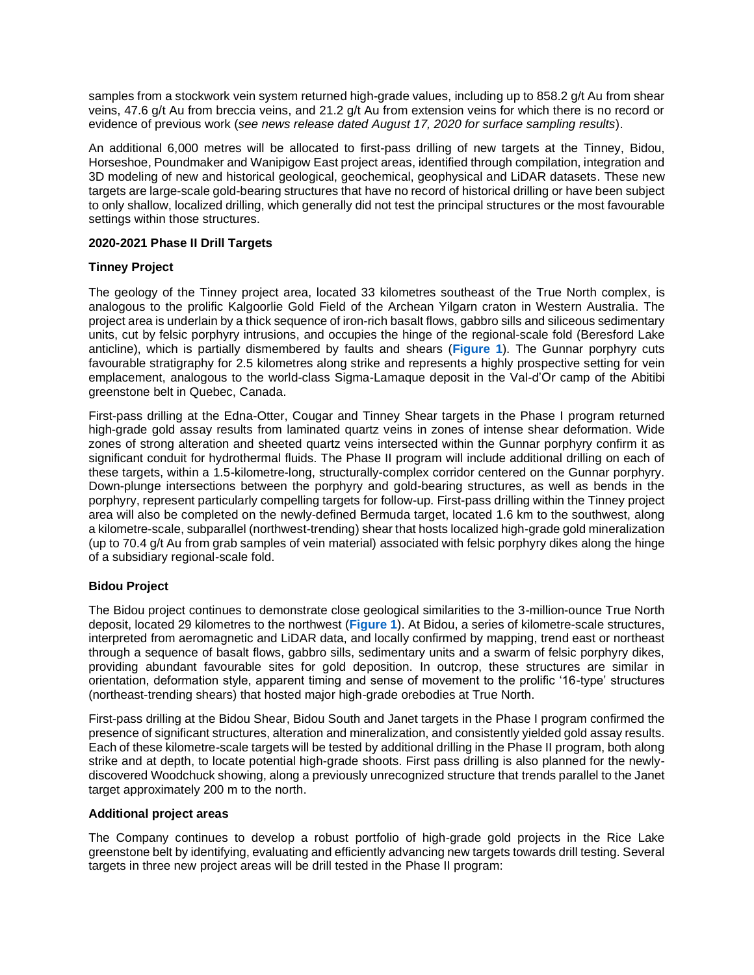samples from a stockwork vein system returned high-grade values, including up to 858.2 g/t Au from shear veins, 47.6 g/t Au from breccia veins, and 21.2 g/t Au from extension veins for which there is no record or evidence of previous work (*see news release dated August 17, 2020 for surface sampling results*).

An additional 6,000 metres will be allocated to first-pass drilling of new targets at the Tinney, Bidou, Horseshoe, Poundmaker and Wanipigow East project areas, identified through compilation, integration and 3D modeling of new and historical geological, geochemical, geophysical and LiDAR datasets. These new targets are large-scale gold-bearing structures that have no record of historical drilling or have been subject to only shallow, localized drilling, which generally did not test the principal structures or the most favourable settings within those structures.

### **2020-2021 Phase II Drill Targets**

### **Tinney Project**

The geology of the Tinney project area, located 33 kilometres southeast of the True North complex, is analogous to the prolific Kalgoorlie Gold Field of the Archean Yilgarn craton in Western Australia. The project area is underlain by a thick sequence of iron-rich basalt flows, gabbro sills and siliceous sedimentary units, cut by felsic porphyry intrusions, and occupies the hinge of the regional-scale fold (Beresford Lake anticline), which is partially dismembered by faults and shears (**[Figure 1](https://www.1911gold.com/_resources/news/AUMB_NR_Oct-2020_Figure-1.pdf)**). The Gunnar porphyry cuts favourable stratigraphy for 2.5 kilometres along strike and represents a highly prospective setting for vein emplacement, analogous to the world-class Sigma-Lamaque deposit in the Val-d'Or camp of the Abitibi greenstone belt in Quebec, Canada.

First-pass drilling at the Edna-Otter, Cougar and Tinney Shear targets in the Phase I program returned high-grade gold assay results from laminated quartz veins in zones of intense shear deformation. Wide zones of strong alteration and sheeted quartz veins intersected within the Gunnar porphyry confirm it as significant conduit for hydrothermal fluids. The Phase II program will include additional drilling on each of these targets, within a 1.5-kilometre-long, structurally-complex corridor centered on the Gunnar porphyry. Down-plunge intersections between the porphyry and gold-bearing structures, as well as bends in the porphyry, represent particularly compelling targets for follow-up. First-pass drilling within the Tinney project area will also be completed on the newly-defined Bermuda target, located 1.6 km to the southwest, along a kilometre-scale, subparallel (northwest-trending) shear that hosts localized high-grade gold mineralization (up to 70.4 g/t Au from grab samples of vein material) associated with felsic porphyry dikes along the hinge of a subsidiary regional-scale fold.

# **Bidou Project**

The Bidou project continues to demonstrate close geological similarities to the 3-million-ounce True North deposit, located 29 kilometres to the northwest (**[Figure 1](https://www.1911gold.com/_resources/news/AUMB_NR_Oct-2020_Figure-1.pdf)**). At Bidou, a series of kilometre-scale structures, interpreted from aeromagnetic and LiDAR data, and locally confirmed by mapping, trend east or northeast through a sequence of basalt flows, gabbro sills, sedimentary units and a swarm of felsic porphyry dikes, providing abundant favourable sites for gold deposition. In outcrop, these structures are similar in orientation, deformation style, apparent timing and sense of movement to the prolific '16-type' structures (northeast-trending shears) that hosted major high-grade orebodies at True North.

First-pass drilling at the Bidou Shear, Bidou South and Janet targets in the Phase I program confirmed the presence of significant structures, alteration and mineralization, and consistently yielded gold assay results. Each of these kilometre-scale targets will be tested by additional drilling in the Phase II program, both along strike and at depth, to locate potential high-grade shoots. First pass drilling is also planned for the newlydiscovered Woodchuck showing, along a previously unrecognized structure that trends parallel to the Janet target approximately 200 m to the north.

### **Additional project areas**

The Company continues to develop a robust portfolio of high-grade gold projects in the Rice Lake greenstone belt by identifying, evaluating and efficiently advancing new targets towards drill testing. Several targets in three new project areas will be drill tested in the Phase II program: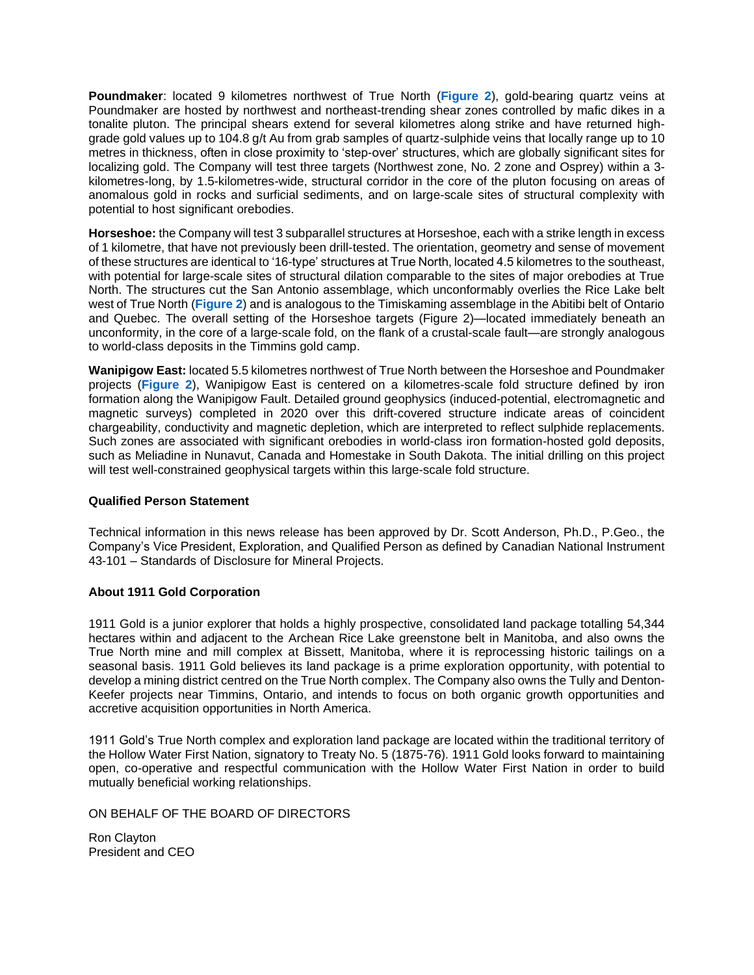**Poundmaker**: located 9 kilometres northwest of True North (**[Figure 2](https://www.1911gold.com/_resources/news/AUMB_NR_Oct-2020_Figure-2.pdf)**), gold-bearing quartz veins at Poundmaker are hosted by northwest and northeast-trending shear zones controlled by mafic dikes in a tonalite pluton. The principal shears extend for several kilometres along strike and have returned highgrade gold values up to 104.8 g/t Au from grab samples of quartz-sulphide veins that locally range up to 10 metres in thickness, often in close proximity to 'step-over' structures, which are globally significant sites for localizing gold. The Company will test three targets (Northwest zone, No. 2 zone and Osprey) within a 3 kilometres-long, by 1.5-kilometres-wide, structural corridor in the core of the pluton focusing on areas of anomalous gold in rocks and surficial sediments, and on large-scale sites of structural complexity with potential to host significant orebodies.

**Horseshoe:** the Company will test 3 subparallel structures at Horseshoe, each with a strike length in excess of 1 kilometre, that have not previously been drill-tested. The orientation, geometry and sense of movement of these structures are identical to '16-type' structures at True North, located 4.5 kilometres to the southeast, with potential for large-scale sites of structural dilation comparable to the sites of major orebodies at True North. The structures cut the San Antonio assemblage, which unconformably overlies the Rice Lake belt west of True North (**[Figure 2](https://www.1911gold.com/_resources/news/AUMB_NR_Oct-2020_Figure-2.pdf)**) and is analogous to the Timiskaming assemblage in the Abitibi belt of Ontario and Quebec. The overall setting of the Horseshoe targets (Figure 2)—located immediately beneath an unconformity, in the core of a large-scale fold, on the flank of a crustal-scale fault—are strongly analogous to world-class deposits in the Timmins gold camp.

**Wanipigow East:** located 5.5 kilometres northwest of True North between the Horseshoe and Poundmaker projects (**[Figure 2](https://www.1911gold.com/_resources/news/AUMB_NR_Oct-2020_Figure-2.pdf)**), Wanipigow East is centered on a kilometres-scale fold structure defined by iron formation along the Wanipigow Fault. Detailed ground geophysics (induced-potential, electromagnetic and magnetic surveys) completed in 2020 over this drift-covered structure indicate areas of coincident chargeability, conductivity and magnetic depletion, which are interpreted to reflect sulphide replacements. Such zones are associated with significant orebodies in world-class iron formation-hosted gold deposits, such as Meliadine in Nunavut, Canada and Homestake in South Dakota. The initial drilling on this project will test well-constrained geophysical targets within this large-scale fold structure.

#### **Qualified Person Statement**

Technical information in this news release has been approved by Dr. Scott Anderson, Ph.D., P.Geo., the Company's Vice President, Exploration, and Qualified Person as defined by Canadian National Instrument 43-101 – Standards of Disclosure for Mineral Projects.

# **About 1911 Gold Corporation**

1911 Gold is a junior explorer that holds a highly prospective, consolidated land package totalling 54,344 hectares within and adjacent to the Archean Rice Lake greenstone belt in Manitoba, and also owns the True North mine and mill complex at Bissett, Manitoba, where it is reprocessing historic tailings on a seasonal basis. 1911 Gold believes its land package is a prime exploration opportunity, with potential to develop a mining district centred on the True North complex. The Company also owns the Tully and Denton-Keefer projects near Timmins, Ontario, and intends to focus on both organic growth opportunities and accretive acquisition opportunities in North America.

1911 Gold's True North complex and exploration land package are located within the traditional territory of the Hollow Water First Nation, signatory to Treaty No. 5 (1875-76). 1911 Gold looks forward to maintaining open, co-operative and respectful communication with the Hollow Water First Nation in order to build mutually beneficial working relationships.

ON BEHALF OF THE BOARD OF DIRECTORS

Ron Clayton President and CEO